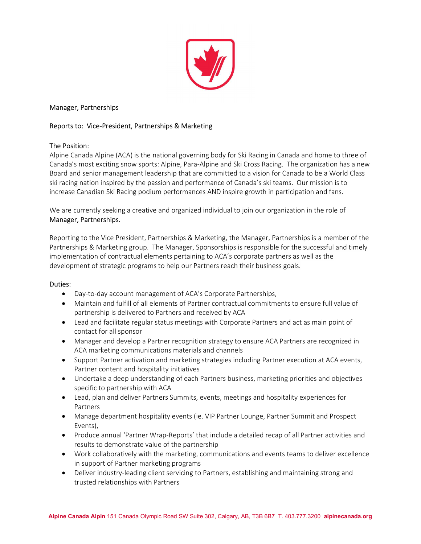

# Manager, Partnerships

## Reports to: Vice-President, Partnerships & Marketing

## The Position:

Alpine Canada Alpine (ACA) is the national governing body for Ski Racing in Canada and home to three of Canada's most exciting snow sports: Alpine, Para-Alpine and Ski Cross Racing. The organization has a new Board and senior management leadership that are committed to a vision for Canada to be a World Class ski racing nation inspired by the passion and performance of Canada's ski teams. Our mission is to increase Canadian Ski Racing podium performances AND inspire growth in participation and fans.

We are currently seeking a creative and organized individual to join our organization in the role of Manager, Partnerships.

Reporting to the Vice President, Partnerships & Marketing, the Manager, Partnerships is a member of the Partnerships & Marketing group. The Manager, Sponsorships is responsible for the successful and timely implementation of contractual elements pertaining to ACA's corporate partners as well as the development of strategic programs to help our Partners reach their business goals.

#### Duties:

- Day-to-day account management of ACA's Corporate Partnerships,
- Maintain and fulfill of all elements of Partner contractual commitments to ensure full value of partnership is delivered to Partners and received by ACA
- Lead and facilitate regular status meetings with Corporate Partners and act as main point of contact for all sponsor
- Manager and develop a Partner recognition strategy to ensure ACA Partners are recognized in ACA marketing communications materials and channels
- Support Partner activation and marketing strategies including Partner execution at ACA events, Partner content and hospitality initiatives
- Undertake a deep understanding of each Partners business, marketing priorities and objectives specific to partnership with ACA
- Lead, plan and deliver Partners Summits, events, meetings and hospitality experiences for Partners
- Manage department hospitality events (ie. VIP Partner Lounge, Partner Summit and Prospect Events),
- Produce annual 'Partner Wrap-Reports' that include a detailed recap of all Partner activities and results to demonstrate value of the partnership
- Work collaboratively with the marketing, communications and events teams to deliver excellence in support of Partner marketing programs
- Deliver industry-leading client servicing to Partners, establishing and maintaining strong and trusted relationships with Partners